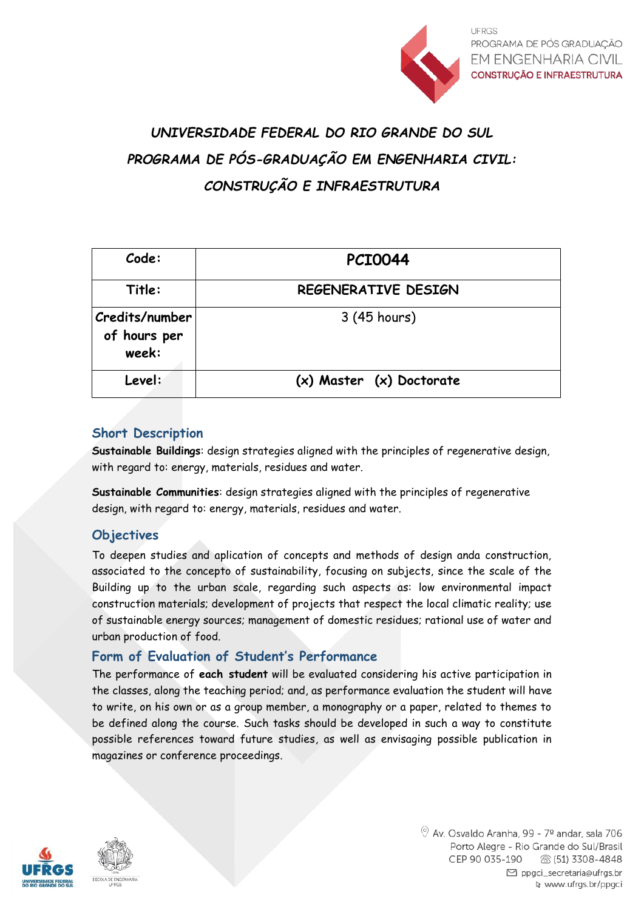

**UFRGS** PROGRAMA DE PÓS GRADUACÃO **EM ENGENHARIA CIVIL CONSTRUÇÃO E INFRAESTRUTURA** 

# *UNIVERSIDADE FEDERAL DO RIO GRANDE DO SUL PROGRAMA DE PÓS-GRADUAÇÃO EM ENGENHARIA CIVIL: CONSTRUÇÃO E INFRAESTRUTURA*

| Code:                                   | <b>PCI0044</b>           |
|-----------------------------------------|--------------------------|
| Title:                                  | REGENERATIVE DESIGN      |
| Credits/number<br>of hours per<br>week: | 3 (45 hours)             |
| Level:                                  | (x) Master (x) Doctorate |

### **Short Description**

**Sustainable Buildings**: design strategies aligned with the principles of regenerative design, with regard to: energy, materials, residues and water.

**Sustainable Communities**: design strategies aligned with the principles of regenerative design, with regard to: energy, materials, residues and water.

#### **Objectives**

To deepen studies and aplication of concepts and methods of design anda construction, associated to the concepto of sustainability, focusing on subjects, since the scale of the Building up to the urban scale, regarding such aspects as: low environmental impact construction materials; development of projects that respect the local climatic reality; use of sustainable energy sources; management of domestic residues; rational use of water and urban production of food.

#### **Form of Evaluation of Student's Performance**

The performance of **each student** will be evaluated considering his active participation in the classes, along the teaching period; and, as performance evaluation the student will have to write, on his own or as a group member, a monography or a paper, related to themes to be defined along the course. Such tasks should be developed in such a way to constitute possible references toward future studies, as well as envisaging possible publication in magazines or conference proceedings.



 $\textcircled{9}$  Av. Osvaldo Aranha, 99 - 7º andar, sala 706 Porto Alegre - Rio Grande do Sul/Brasil CEP 90 035-190 ි (51) 3308-4848 □ ppgci\_secretaria@ufrgs.br www.ufrgs.br/ppgci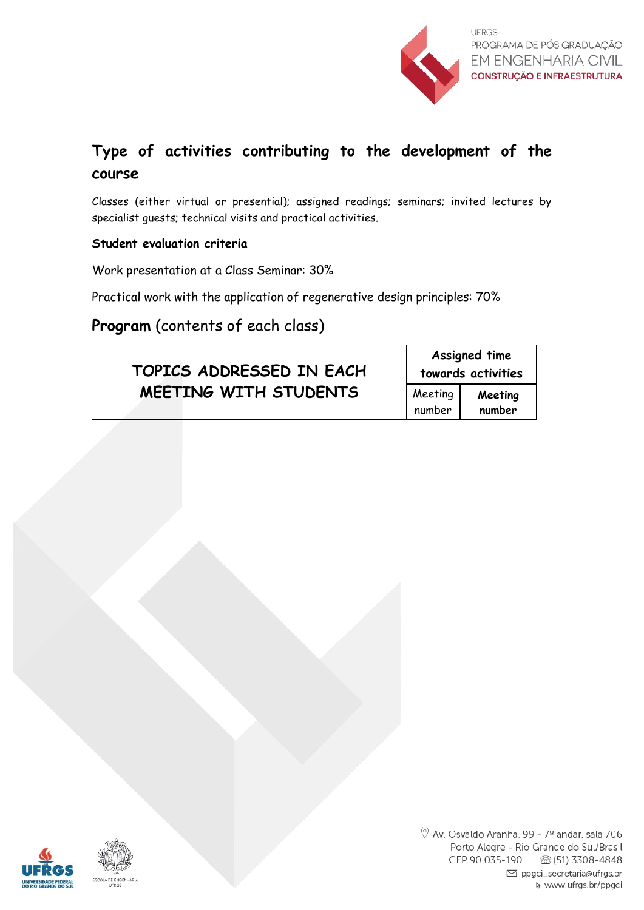

## **Type of activities contributing to the development of the course**

Classes (either virtual or presential); assigned readings; seminars; invited lectures by specialist guests; technical visits and practical activities.

#### **Student evaluation criteria**

Work presentation at a Class Seminar: 30%

Practical work with the application of regenerative design principles: 70%

**Program** (contents of each class)

| TOPICS ADDRESSED IN EACH | Assigned time<br>towards activities |                   |
|--------------------------|-------------------------------------|-------------------|
| MEETING WITH STUDENTS    | Meeting<br>number                   | Meeting<br>number |



 $\circledcirc$  Av. Osvaldo Aranha, 99 - 7º andar, sala 706 Porto Alegre - Rio Grande do Sul/Brasil CEP 90 035-190 28 (51) 3308-4848 ⊠ ppgci\_secretaria@ufrgs.br www.ufrgs.br/ppgci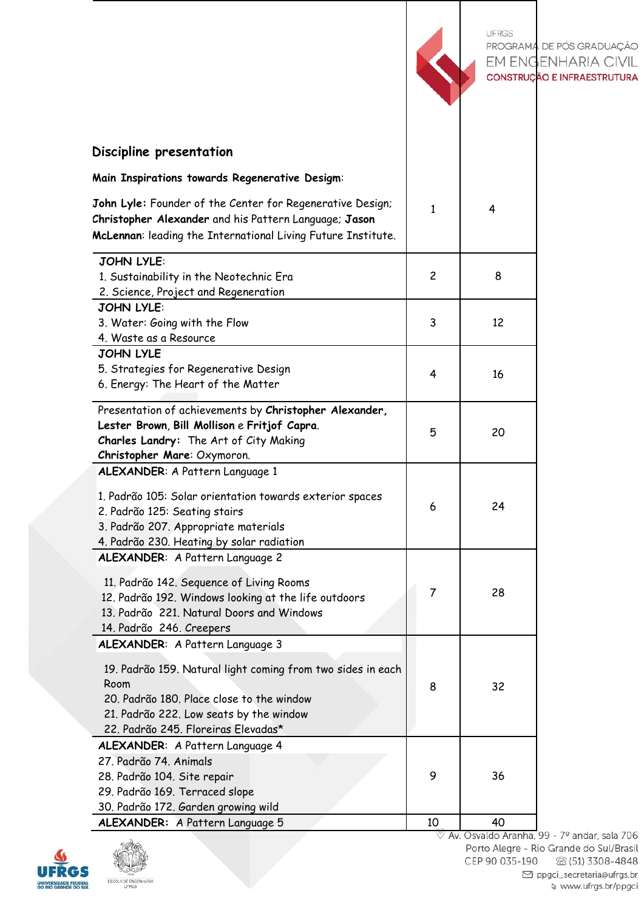|                                                                                                                                                                                                    |                | <b>UFRGS</b> | PROGRAMA DE PÓS GRADUAÇÃO<br>EM ENGENHARIA CIVIL<br>CONSTRUÇÃO E INFRAESTRUTURA |
|----------------------------------------------------------------------------------------------------------------------------------------------------------------------------------------------------|----------------|--------------|---------------------------------------------------------------------------------|
| Discipline presentation                                                                                                                                                                            |                |              |                                                                                 |
| Main Inspirations towards Regenerative Desigm:                                                                                                                                                     |                |              |                                                                                 |
| John Lyle: Founder of the Center for Regenerative Design;<br>Christopher Alexander and his Pattern Language; Jason<br>McLennan: leading the International Living Future Institute.                 |                | 4            |                                                                                 |
| <b>JOHN LYLE:</b>                                                                                                                                                                                  |                |              |                                                                                 |
| 1. Sustainability in the Neotechnic Era<br>2. Science, Project and Regeneration                                                                                                                    | $\overline{c}$ | 8            |                                                                                 |
| <b>JOHN LYLE:</b>                                                                                                                                                                                  |                |              |                                                                                 |
| 3. Water: Going with the Flow                                                                                                                                                                      | 3              | 12           |                                                                                 |
| 4. Waste as a Resource                                                                                                                                                                             |                |              |                                                                                 |
| <b>JOHN LYLE</b>                                                                                                                                                                                   |                |              |                                                                                 |
| 5. Strategies for Regenerative Design<br>6. Energy: The Heart of the Matter                                                                                                                        | 4              | 16           |                                                                                 |
|                                                                                                                                                                                                    |                |              |                                                                                 |
| Presentation of achievements by Christopher Alexander,<br>Lester Brown, Bill Mollison e Fritjof Capra.<br>Charles Landry: The Art of City Making<br>Christopher Mare: Oxymoron.                    | 5              | 20           |                                                                                 |
| ALEXANDER: A Pattern Language 1                                                                                                                                                                    |                |              |                                                                                 |
| 1. Padrão 105: Solar orientation towards exterior spaces<br>2. Padrão 125: Seating stairs<br>3. Padrão 207. Appropriate materials<br>4. Padrão 230. Heating by solar radiation                     | 6              | 24           |                                                                                 |
| ALEXANDER: A Pattern Language 2                                                                                                                                                                    |                |              |                                                                                 |
| 11. Padrão 142. Sequence of Living Rooms<br>12. Padrão 192. Windows looking at the life outdoors<br>13. Padrão 221. Natural Doors and Windows<br>14. Padrão 246. Creepers                          | 7              | 28           |                                                                                 |
| ALEXANDER: A Pattern Language 3                                                                                                                                                                    |                |              |                                                                                 |
| 19. Padrão 159. Natural light coming from two sides in each<br>Room<br>20. Padrão 180. Place close to the window<br>21. Padrão 222. Low seats by the window<br>22. Padrão 245. Floreiras Elevadas* | 8              | 32           |                                                                                 |
| ALEXANDER: A Pattern Language 4                                                                                                                                                                    |                |              |                                                                                 |
| 27. Padrão 74. Animals                                                                                                                                                                             | 9              | 36           |                                                                                 |
| 28. Padrão 104. Site repair<br>29. Padrão 169. Terraced slope                                                                                                                                      |                |              |                                                                                 |
| 30. Padrão 172. Garden growing wild                                                                                                                                                                |                |              |                                                                                 |
| ALEXANDER: A Pattern Language 5                                                                                                                                                                    | 10             | 40           |                                                                                 |



Porto Alegre - Rio Grande do Sul/Brasil CEP 90 035-190 8 (51) 3308-4848  $\boxdot$  ppgci\_secretaria@ufrgs.br २ www.ufrgs.br/ppgci